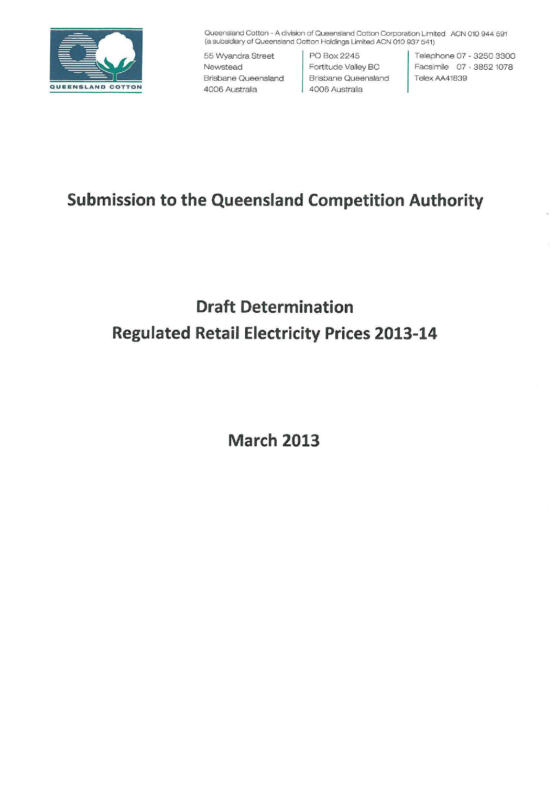

Queensland Cotton -A division of Queensland Cotton Corporation Limited ACN 010 944 591 (a subsidiary of Queensland Cotton Holdings Limited ACN 010 937 541)

55 Wyandra Street Newstead Brisbane Queensland 4006 Australia

PO Box2245 Fortitude Valley BC Brisbane Queensland 4006 Australia

Telephone 07 - 3250 3300 Facsim ile 07 - 3852 1078 Telex AA41839

## **Submission to the Queensland Competition Authority**

# **Draft Determination Regulated Retail Electricity Prices 2013-14**

**March 2013**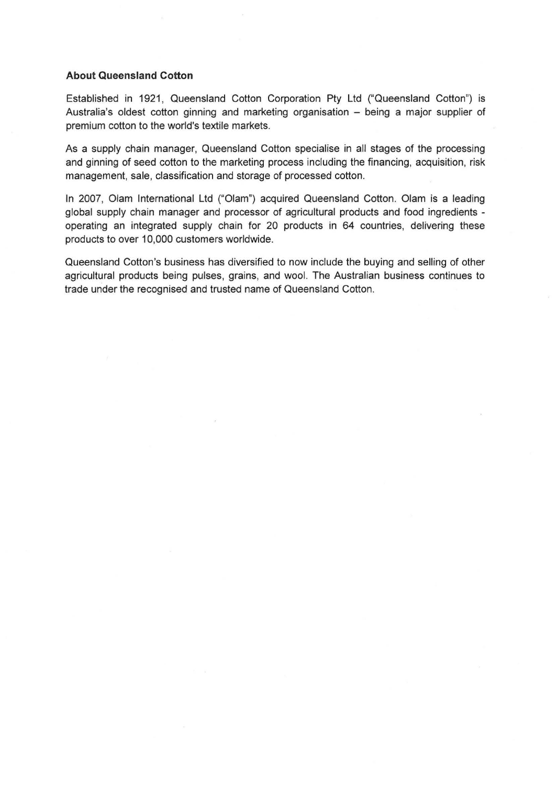### **About Queensland Cotton**

Established in 1921, Queensland Cotton Corporation Pty Ltd ("Queensland Cotton") is Australia's oldest cotton ginning and marketing organisation - being a major supplier of premium cotton to the world's textile markets.

As a supply chain manager, Queensland Cotton specialise in all stages of the processing and ginning of seed cotton to the marketing process including the financing, acquisition, risk management, sale, classification and storage of processed cotton.

In 2007, Olam International Ltd ("Olam") acquired Queensland Cotton. Olam is a leading global supply chain manager and processor of agricultural products and food ingredients operating an integrated supply chain for 20 products in 64 countries, delivering these products to over 10,000 customers worldwide.

Queensland Cotton's business has diversified to now include the buying and selling of other agricultural products being pulses, grains, and wool. The Australian business continues to trade under the recognised and trusted name of Queensland Cotton.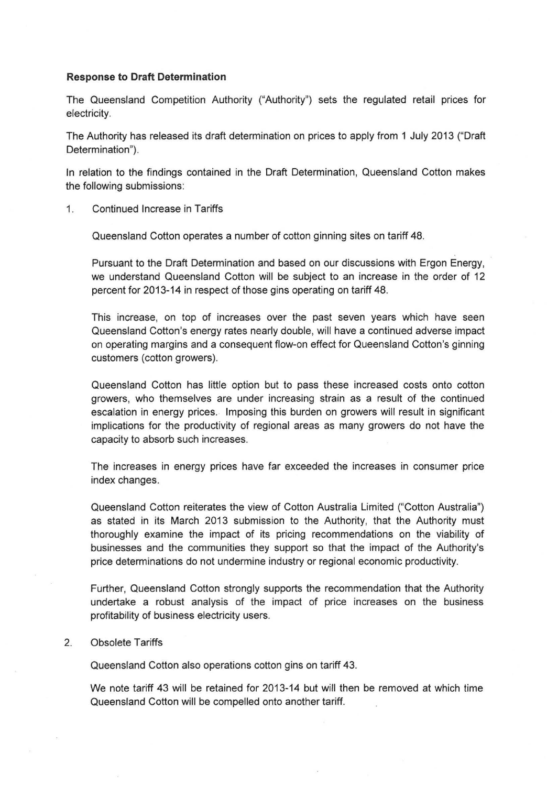#### **Response to Draft Determination**

The Queensland Competition Authority ("Authority") sets the regulated retail prices for electricity.

The Authority has released its draft determination on prices to apply from 1 July 2013 ("Draft Determination").

In relation to the findings contained in the Draft Determination, Queensland Cotton makes the following submissions:

1. Continued Increase in Tariffs

Queensland Cotton operates a number of cotton ginning sites on tariff 48.

Pursuant to the Draft Determination and based on our discussions with Ergon Energy, we understand Queensland Cotton will be subject to an increase in the order of 12 percent for 2013-14 in respect of those gins operating on tariff 48.

This increase, on top of increases over the past seven years which have seen Queensland Cotton's energy rates nearly double, will have a continued adverse impact on operating margins and a consequent flow-on effect for Queensland Cotton's ginning customers (cotton growers).

Queensland Cotton has little option but to pass these increased costs onto cotton growers, who themselves are under increasing strain as a result of the continued escalation in energy prices. Imposing this burden on growers will result in significant implications for the productivity of regional areas as many growers do not have the capacity to absorb such increases.

The increases in energy prices have far exceeded the increases in consumer price index changes.

Queensland Cotton reiterates the view of Cotton Australia Limited ("Cotton Australia") as stated in its March 2013 submission to the Authority, that the Authority must thoroughly examine the impact of its pricing recommendations on the viability of businesses and the communities they support so that the impact of the Authority's price determinations do not undermine industry or regional economic productivity.

Further, Queensland Cotton strongly supports the recommendation that the Authority undertake a robust analysis of the impact of price increases on the business profitability of business electricity users.

### 2. Obsolete Tariffs

Queensland Cotton also operations cotton gins on tariff 43.

We note tariff 43 will be retained for 2013-14 but will then be removed at which time Queensland Cotton will be compelled onto another tariff.